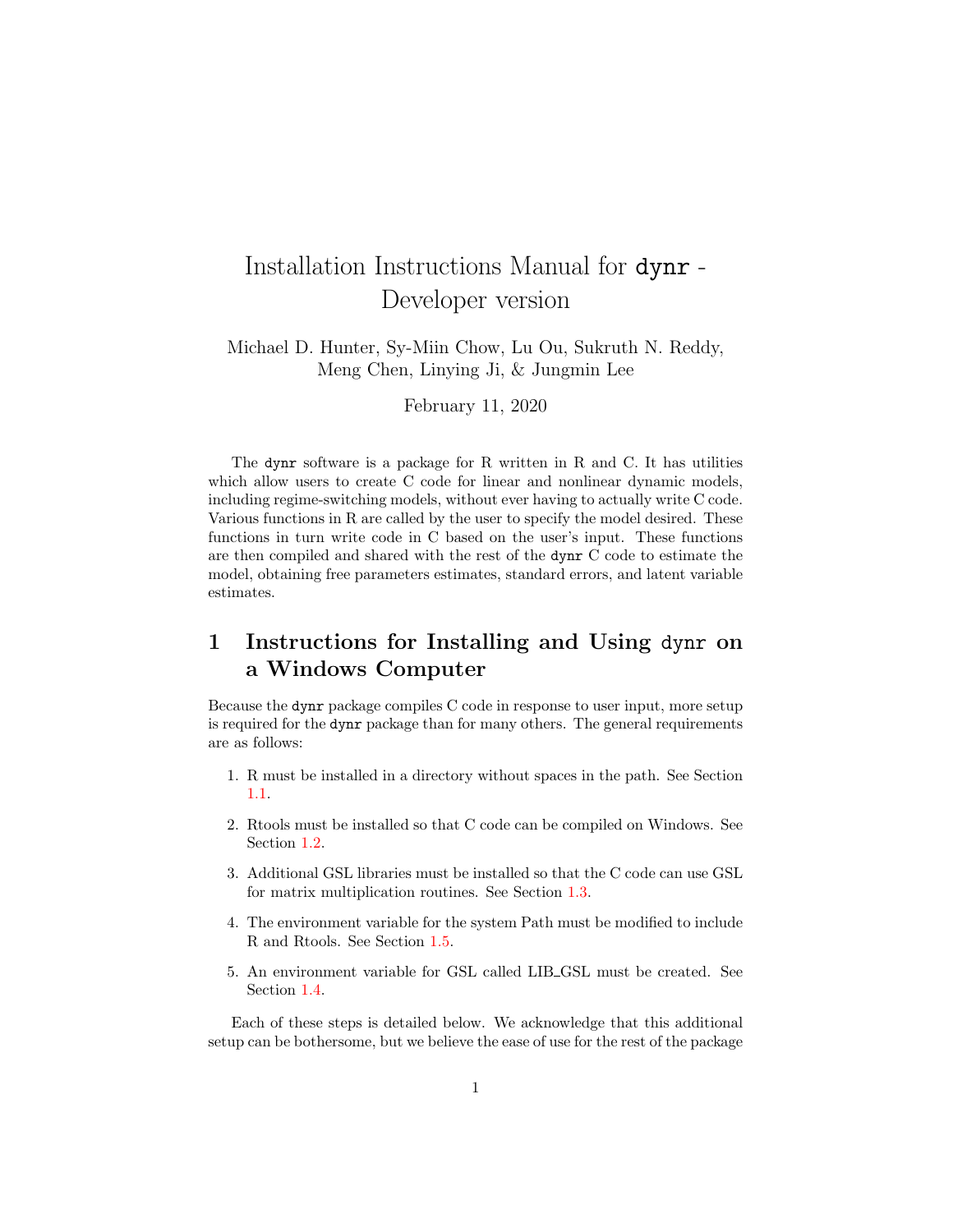# Installation Instructions Manual for dynr - Developer version

Michael D. Hunter, Sy-Miin Chow, Lu Ou, Sukruth N. Reddy, Meng Chen, Linying Ji, & Jungmin Lee

February 11, 2020

The dynr software is a package for R written in R and C. It has utilities which allow users to create C code for linear and nonlinear dynamic models, including regime-switching models, without ever having to actually write C code. Various functions in R are called by the user to specify the model desired. These functions in turn write code in C based on the user's input. These functions are then compiled and shared with the rest of the dynr C code to estimate the model, obtaining free parameters estimates, standard errors, and latent variable estimates.

# 1 Instructions for Installing and Using dynr on a Windows Computer

Because the dynr package compiles C code in response to user input, more setup is required for the dynr package than for many others. The general requirements are as follows:

- 1. R must be installed in a directory without spaces in the path. See Section [1.1.](#page-1-0)
- 2. Rtools must be installed so that C code can be compiled on Windows. See Section [1.2.](#page-1-1)
- 3. Additional GSL libraries must be installed so that the C code can use GSL for matrix multiplication routines. See Section [1.3.](#page-2-0)
- 4. The environment variable for the system Path must be modified to include R and Rtools. See Section [1.5.](#page-3-0)
- 5. An environment variable for GSL called LIB GSL must be created. See Section [1.4.](#page-2-1)

Each of these steps is detailed below. We acknowledge that this additional setup can be bothersome, but we believe the ease of use for the rest of the package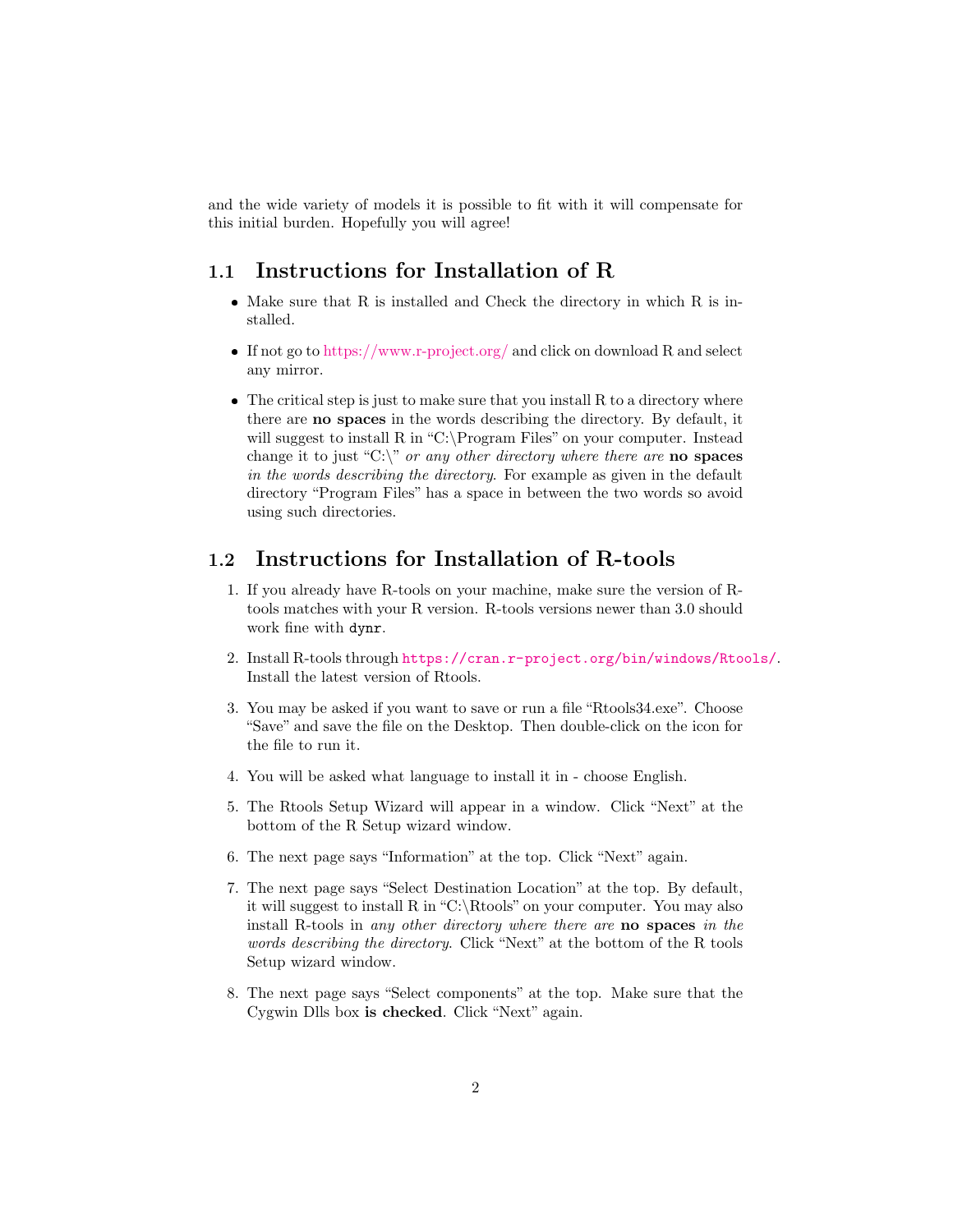and the wide variety of models it is possible to fit with it will compensate for this initial burden. Hopefully you will agree!

### <span id="page-1-0"></span>1.1 Instructions for Installation of R

- $\bullet$  Make sure that R is installed and Check the directory in which R is installed.
- If not go to <https://www.r-project.org/> and click on download R and select any mirror.
- $\bullet$  The critical step is just to make sure that you install R to a directory where there are no spaces in the words describing the directory. By default, it will suggest to install R in "C:\Program Files" on your computer. Instead change it to just "C:\" or any other directory where there are **no** spaces in the words describing the directory. For example as given in the default directory "Program Files" has a space in between the two words so avoid using such directories.

#### <span id="page-1-1"></span>1.2 Instructions for Installation of R-tools

- 1. If you already have R-tools on your machine, make sure the version of Rtools matches with your R version. R-tools versions newer than 3.0 should work fine with dynr.
- 2. Install R-tools through <https://cran.r-project.org/bin/windows/Rtools/>. Install the latest version of Rtools.
- 3. You may be asked if you want to save or run a file "Rtools34.exe". Choose "Save" and save the file on the Desktop. Then double-click on the icon for the file to run it.
- 4. You will be asked what language to install it in choose English.
- 5. The Rtools Setup Wizard will appear in a window. Click "Next" at the bottom of the R Setup wizard window.
- 6. The next page says "Information" at the top. Click "Next" again.
- 7. The next page says "Select Destination Location" at the top. By default, it will suggest to install R in "C:\Rtools" on your computer. You may also install R-tools in any other directory where there are no spaces in the words describing the directory. Click "Next" at the bottom of the R tools Setup wizard window.
- 8. The next page says "Select components" at the top. Make sure that the Cygwin Dlls box is checked. Click "Next" again.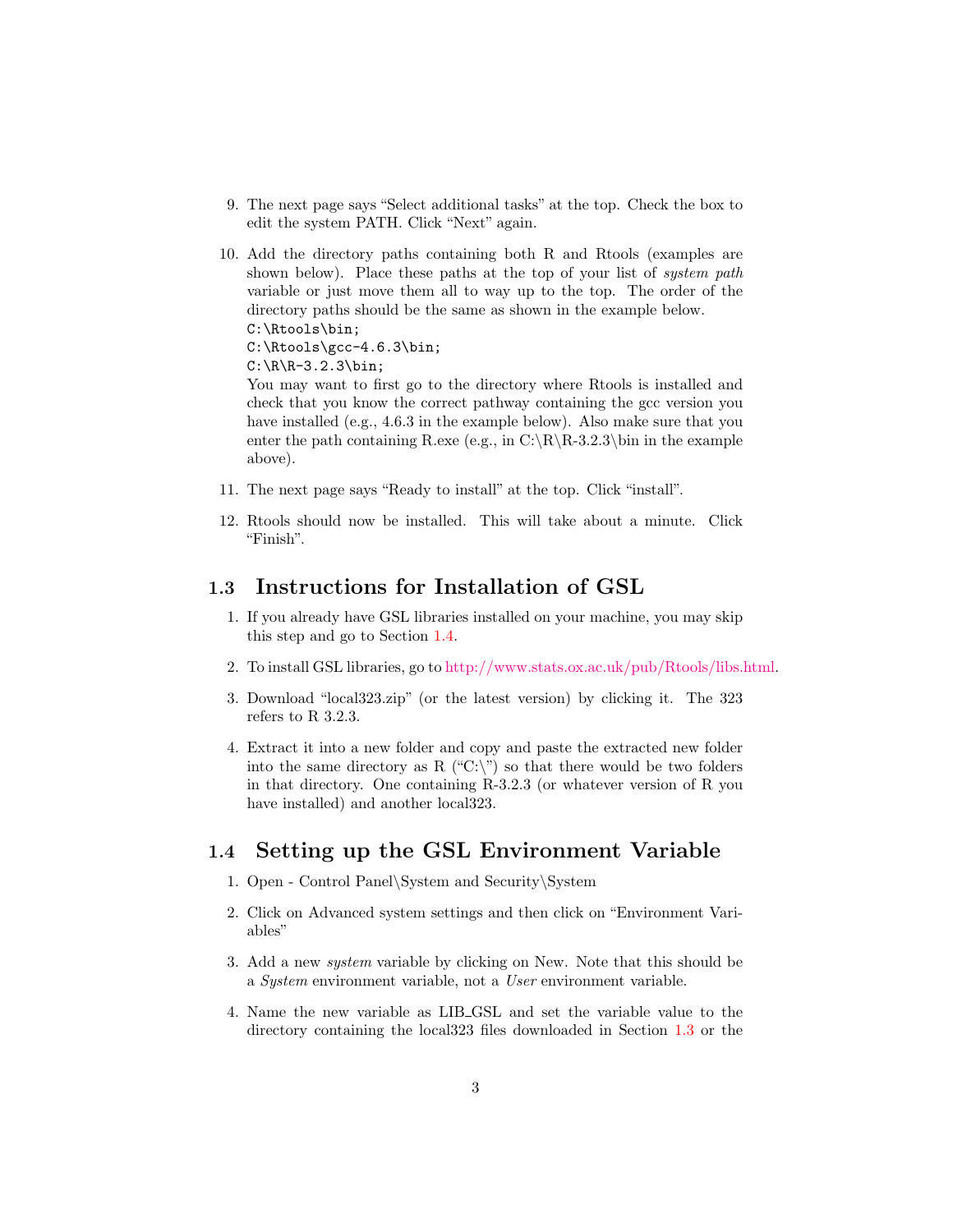- 9. The next page says "Select additional tasks" at the top. Check the box to edit the system PATH. Click "Next" again.
- 10. Add the directory paths containing both R and Rtools (examples are shown below). Place these paths at the top of your list of *system path* variable or just move them all to way up to the top. The order of the directory paths should be the same as shown in the example below. C:\Rtools\bin;

C:\Rtools\gcc-4.6.3\bin;

 $C:\R\R-3.2.3\binom{n}{2}$ 

You may want to first go to the directory where Rtools is installed and check that you know the correct pathway containing the gcc version you have installed (e.g., 4.6.3 in the example below). Also make sure that you enter the path containing R.exe (e.g., in C:\R\R-3.2.3\bin in the example above).

- 11. The next page says "Ready to install" at the top. Click "install".
- 12. Rtools should now be installed. This will take about a minute. Click "Finish".

### <span id="page-2-0"></span>1.3 Instructions for Installation of GSL

- 1. If you already have GSL libraries installed on your machine, you may skip this step and go to Section [1.4.](#page-2-1)
- 2. To install GSL libraries, go to [http://www.stats.ox.ac.uk/pub/Rtools/libs.html.](http://www.stats.ox.ac.uk/pub/Rtools/libs.html)
- 3. Download "local323.zip" (or the latest version) by clicking it. The 323 refers to R 3.2.3.
- 4. Extract it into a new folder and copy and paste the extracted new folder into the same directory as R ("C:\") so that there would be two folders in that directory. One containing R-3.2.3 (or whatever version of R you have installed) and another local323.

### <span id="page-2-1"></span>1.4 Setting up the GSL Environment Variable

- 1. Open Control Panel\System and Security\System
- 2. Click on Advanced system settings and then click on "Environment Variables"
- 3. Add a new system variable by clicking on New. Note that this should be a System environment variable, not a User environment variable.
- 4. Name the new variable as LIB GSL and set the variable value to the directory containing the local323 files downloaded in Section [1.3](#page-2-0) or the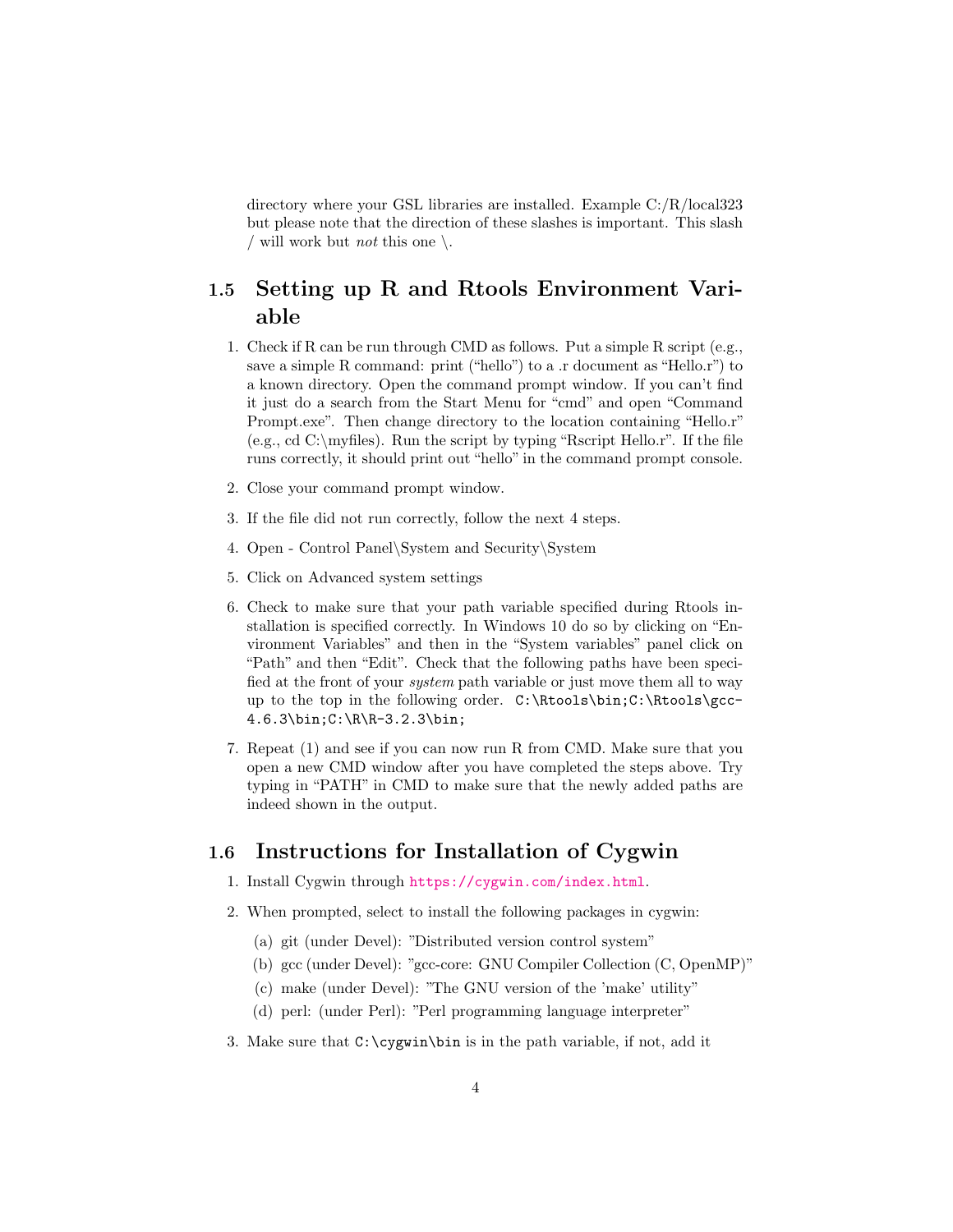directory where your GSL libraries are installed. Example C:/R/local323 but please note that the direction of these slashes is important. This slash / will work but *not* this one  $\setminus$ .

### <span id="page-3-0"></span>1.5 Setting up R and Rtools Environment Variable

- 1. Check if R can be run through CMD as follows. Put a simple R script (e.g., save a simple R command: print ("hello") to a .r document as "Hello.r") to a known directory. Open the command prompt window. If you can't find it just do a search from the Start Menu for "cmd" and open "Command Prompt.exe". Then change directory to the location containing "Hello.r" (e.g., cd  $C:\mbox{myliles}$ ). Run the script by typing "Rscript Hello.r". If the file runs correctly, it should print out "hello" in the command prompt console.
- 2. Close your command prompt window.
- 3. If the file did not run correctly, follow the next 4 steps.
- 4. Open Control Panel\System and Security\System
- 5. Click on Advanced system settings
- 6. Check to make sure that your path variable specified during Rtools installation is specified correctly. In Windows 10 do so by clicking on "Environment Variables" and then in the "System variables" panel click on "Path" and then "Edit". Check that the following paths have been specified at the front of your system path variable or just move them all to way up to the top in the following order. C:\Rtools\bin;C:\Rtools\gcc-4.6.3\bin;C:\R\R-3.2.3\bin;
- 7. Repeat (1) and see if you can now run R from CMD. Make sure that you open a new CMD window after you have completed the steps above. Try typing in "PATH" in CMD to make sure that the newly added paths are indeed shown in the output.

#### 1.6 Instructions for Installation of Cygwin

- 1. Install Cygwin through <https://cygwin.com/index.html>.
- 2. When prompted, select to install the following packages in cygwin:
	- (a) git (under Devel): "Distributed version control system"
	- (b) gcc (under Devel): "gcc-core: GNU Compiler Collection (C, OpenMP)"
	- (c) make (under Devel): "The GNU version of the 'make' utility"
	- (d) perl: (under Perl): "Perl programming language interpreter"
- 3. Make sure that C:\cygwin\bin is in the path variable, if not, add it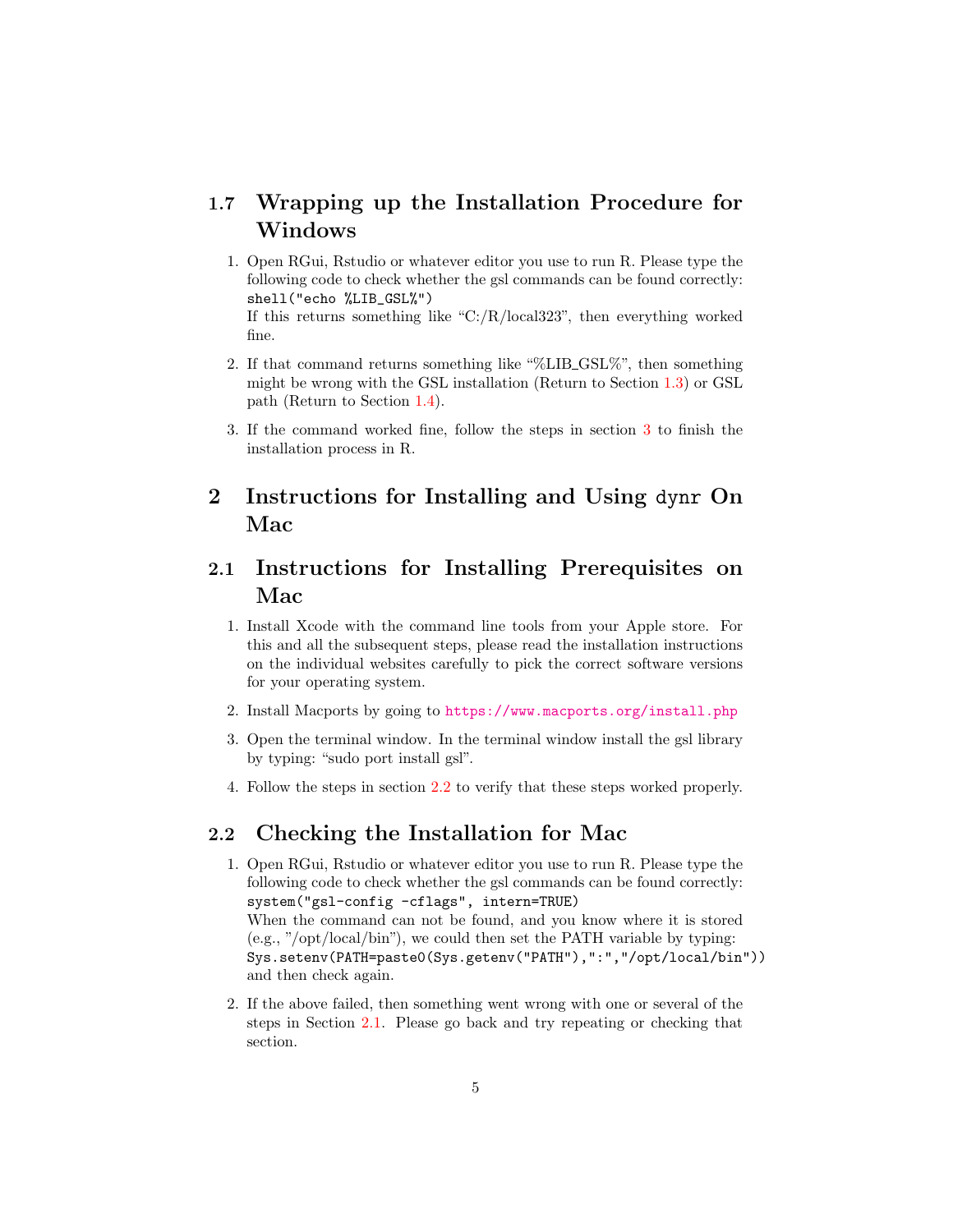### 1.7 Wrapping up the Installation Procedure for Windows

1. Open RGui, Rstudio or whatever editor you use to run R. Please type the following code to check whether the gsl commands can be found correctly: shell("echo %LIB\_GSL%") If this returns something like "C:/R/local323", then everything worked

fine.

- 2. If that command returns something like "%LIB GSL%", then something might be wrong with the GSL installation (Return to Section [1.3\)](#page-2-0) or GSL path (Return to Section [1.4\)](#page-2-1).
- 3. If the command worked fine, follow the steps in section [3](#page-5-0) to finish the installation process in R.

# 2 Instructions for Installing and Using dynr On Mac

# <span id="page-4-1"></span>2.1 Instructions for Installing Prerequisites on Mac

- 1. Install Xcode with the command line tools from your Apple store. For this and all the subsequent steps, please read the installation instructions on the individual websites carefully to pick the correct software versions for your operating system.
- 2. Install Macports by going to <https://www.macports.org/install.php>
- 3. Open the terminal window. In the terminal window install the gsl library by typing: "sudo port install gsl".
- 4. Follow the steps in section [2.2](#page-4-0) to verify that these steps worked properly.

### <span id="page-4-0"></span>2.2 Checking the Installation for Mac

- 1. Open RGui, Rstudio or whatever editor you use to run R. Please type the following code to check whether the gsl commands can be found correctly: system("gsl-config -cflags", intern=TRUE) When the command can not be found, and you know where it is stored (e.g., "/opt/local/bin"), we could then set the PATH variable by typing: Sys.setenv(PATH=paste0(Sys.getenv("PATH"),":","/opt/local/bin")) and then check again.
- 2. If the above failed, then something went wrong with one or several of the steps in Section [2.1.](#page-4-1) Please go back and try repeating or checking that section.